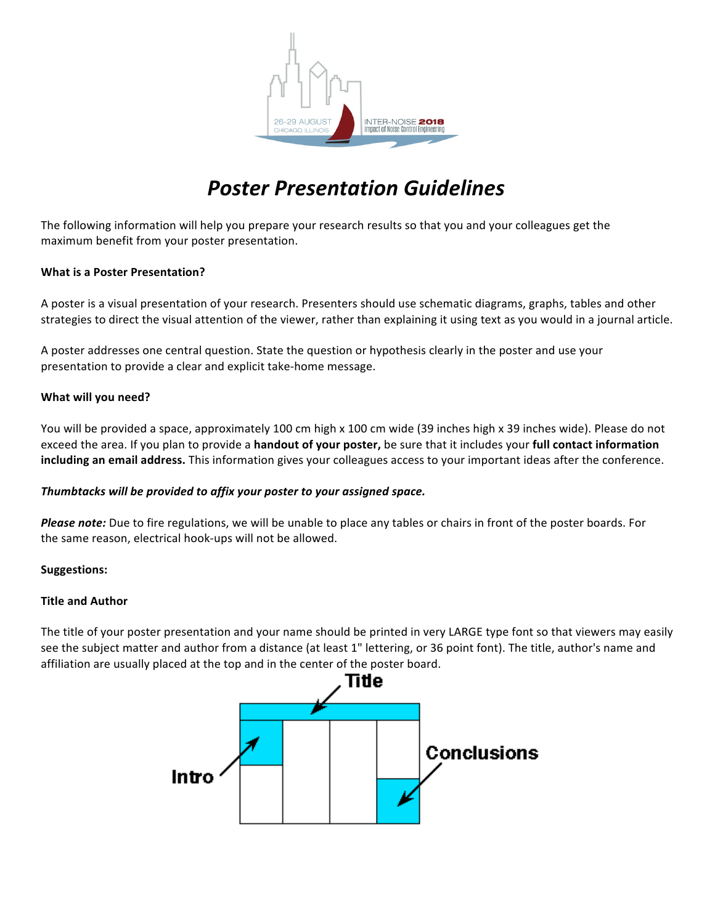

# *Poster Presentation Guidelines*

The following information will help you prepare your research results so that you and your colleagues get the maximum benefit from your poster presentation.

## **What is a Poster Presentation?**

A poster is a visual presentation of your research. Presenters should use schematic diagrams, graphs, tables and other strategies to direct the visual attention of the viewer, rather than explaining it using text as you would in a journal article.

A poster addresses one central question. State the question or hypothesis clearly in the poster and use your presentation to provide a clear and explicit take-home message.

## **What will you need?**

You will be provided a space, approximately 100 cm high x 100 cm wide (39 inches high x 39 inches wide). Please do not exceed the area. If you plan to provide a **handout of your poster,** be sure that it includes your **full contact information** including an email address. This information gives your colleagues access to your important ideas after the conference.

#### Thumbtacks will be provided to affix your poster to your assigned space.

**Please note:** Due to fire regulations, we will be unable to place any tables or chairs in front of the poster boards. For the same reason, electrical hook-ups will not be allowed.

#### **Suggestions:**

#### **Title and Author**

The title of your poster presentation and your name should be printed in very LARGE type font so that viewers may easily see the subject matter and author from a distance (at least 1" lettering, or 36 point font). The title, author's name and affiliation are usually placed at the top and in the center of the poster board.